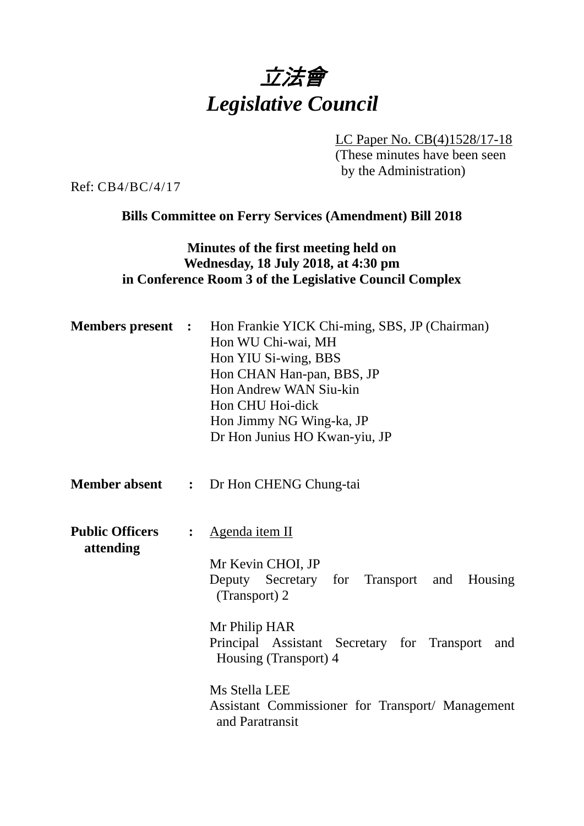# 立法會 *Legislative Council*

LC Paper No. CB(4)1528/17-18

(These minutes have been seen by the Administration)

Ref: CB4/BC/4/17

**Bills Committee on Ferry Services (Amendment) Bill 2018** 

#### **Minutes of the first meeting held on Wednesday, 18 July 2018, at 4:30 pm in Conference Room 3 of the Legislative Council Complex**

|                                     |                | <b>Members present :</b> Hon Frankie YICK Chi-ming, SBS, JP (Chairman)<br>Hon WU Chi-wai, MH<br>Hon YIU Si-wing, BBS<br>Hon CHAN Han-pan, BBS, JP<br>Hon Andrew WAN Siu-kin<br>Hon CHU Hoi-dick<br>Hon Jimmy NG Wing-ka, JP<br>Dr Hon Junius HO Kwan-yiu, JP |  |
|-------------------------------------|----------------|--------------------------------------------------------------------------------------------------------------------------------------------------------------------------------------------------------------------------------------------------------------|--|
|                                     |                | <b>Member absent : Dr Hon CHENG Chung-tai</b>                                                                                                                                                                                                                |  |
| <b>Public Officers</b><br>attending | $\ddot{\cdot}$ | <u>Agenda item II</u><br>Mr Kevin CHOI, JP<br>Deputy Secretary for Transport and Housing<br>(Transport) 2<br>Mr Philip HAR                                                                                                                                   |  |
|                                     |                | Principal Assistant Secretary for Transport<br>and<br>Housing (Transport) 4                                                                                                                                                                                  |  |
|                                     |                | Ms Stella LEE<br>Assistant Commissioner for Transport/ Management<br>and Paratransit                                                                                                                                                                         |  |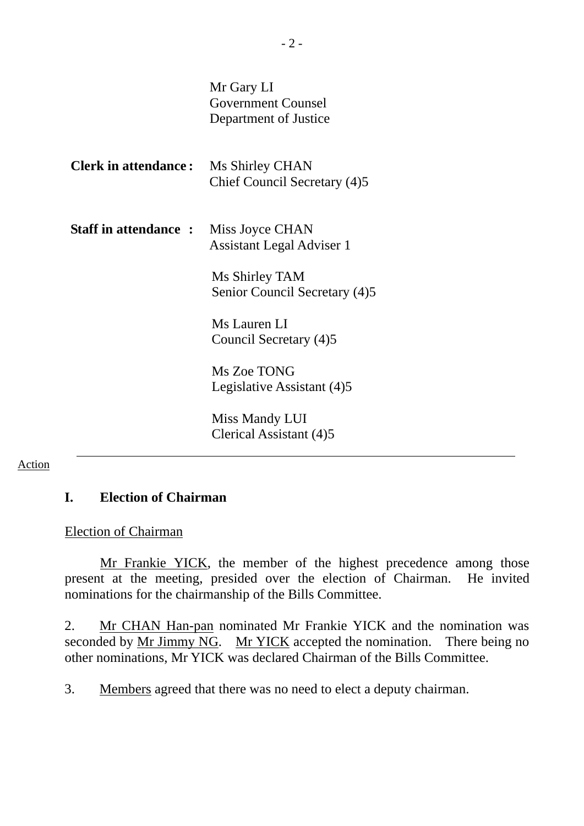|                             | Mr Gary LI<br><b>Government Counsel</b><br>Department of Justice |
|-----------------------------|------------------------------------------------------------------|
| <b>Clerk in attendance:</b> | Ms Shirley CHAN<br>Chief Council Secretary (4)5                  |
| <b>Staff in attendance:</b> | Miss Joyce CHAN<br><b>Assistant Legal Adviser 1</b>              |
|                             | Ms Shirley TAM<br>Senior Council Secretary (4)5                  |
|                             | Ms Lauren LI<br>Council Secretary (4)5                           |
|                             | Ms Zoe TONG<br>Legislative Assistant (4)5                        |
|                             | Miss Mandy LUI<br>Clerical Assistant (4)5                        |

#### Action

#### **I. Election of Chairman**

#### Election of Chairman

Mr Frankie YICK, the member of the highest precedence among those present at the meeting, presided over the election of Chairman. He invited nominations for the chairmanship of the Bills Committee.

2. Mr CHAN Han-pan nominated Mr Frankie YICK and the nomination was seconded by Mr Jimmy NG. Mr YICK accepted the nomination. There being no other nominations, Mr YICK was declared Chairman of the Bills Committee.

3. Members agreed that there was no need to elect a deputy chairman.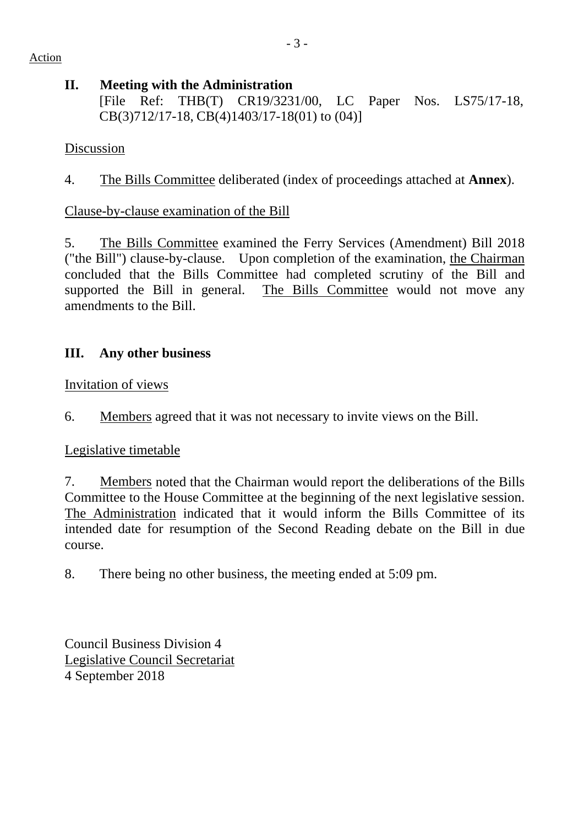#### **II. Meeting with the Administration**

[File Ref: THB(T) CR19/3231/00, LC Paper Nos. LS75/17-18, CB(3)712/17-18, CB(4)1403/17-18(01) to (04)]

### Discussion

4. The Bills Committee deliberated (index of proceedings attached at **Annex**).

# Clause-by-clause examination of the Bill

5. The Bills Committee examined the Ferry Services (Amendment) Bill 2018 ("the Bill") clause-by-clause. Upon completion of the examination, the Chairman concluded that the Bills Committee had completed scrutiny of the Bill and supported the Bill in general. The Bills Committee would not move any amendments to the Bill.

# **III. Any other business**

#### Invitation of views

6. Members agreed that it was not necessary to invite views on the Bill.

# Legislative timetable

7. Members noted that the Chairman would report the deliberations of the Bills Committee to the House Committee at the beginning of the next legislative session. The Administration indicated that it would inform the Bills Committee of its intended date for resumption of the Second Reading debate on the Bill in due course.

8. There being no other business, the meeting ended at 5:09 pm.

Council Business Division 4 Legislative Council Secretariat 4 September 2018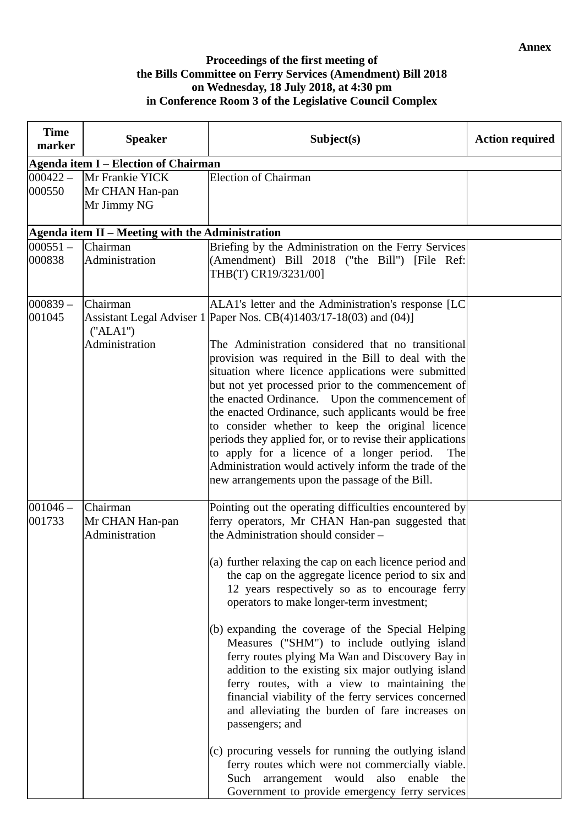#### **Proceedings of the first meeting of the Bills Committee on Ferry Services (Amendment) Bill 2018 on Wednesday, 18 July 2018, at 4:30 pm in Conference Room 3 of the Legislative Council Complex**

| <b>Time</b><br>marker | <b>Speaker</b>                                    | Subject(s)                                                                                                                                                                                                                                                                                                                                                                                                                                                                                                                                                                                                                                                                                                                                                                                                                                                                                                                                                                         | <b>Action required</b> |
|-----------------------|---------------------------------------------------|------------------------------------------------------------------------------------------------------------------------------------------------------------------------------------------------------------------------------------------------------------------------------------------------------------------------------------------------------------------------------------------------------------------------------------------------------------------------------------------------------------------------------------------------------------------------------------------------------------------------------------------------------------------------------------------------------------------------------------------------------------------------------------------------------------------------------------------------------------------------------------------------------------------------------------------------------------------------------------|------------------------|
|                       | <b>Agenda item I – Election of Chairman</b>       |                                                                                                                                                                                                                                                                                                                                                                                                                                                                                                                                                                                                                                                                                                                                                                                                                                                                                                                                                                                    |                        |
| $000422 -$<br>000550  | Mr Frankie YICK<br>Mr CHAN Han-pan<br>Mr Jimmy NG | <b>Election of Chairman</b>                                                                                                                                                                                                                                                                                                                                                                                                                                                                                                                                                                                                                                                                                                                                                                                                                                                                                                                                                        |                        |
|                       | Agenda item II - Meeting with the Administration  |                                                                                                                                                                                                                                                                                                                                                                                                                                                                                                                                                                                                                                                                                                                                                                                                                                                                                                                                                                                    |                        |
| $000551 -$<br>000838  | Chairman<br>Administration                        | Briefing by the Administration on the Ferry Services<br>(Amendment) Bill 2018 ("the Bill") [File Ref:<br>THB(T) CR19/3231/00]                                                                                                                                                                                                                                                                                                                                                                                                                                                                                                                                                                                                                                                                                                                                                                                                                                                      |                        |
| $000839 -$<br>001045  | Chairman<br>("ALA")<br>Administration             | ALA1's letter and the Administration's response [LC<br>Assistant Legal Adviser 1 Paper Nos. CB(4)1403/17-18(03) and (04)]<br>The Administration considered that no transitional<br>provision was required in the Bill to deal with the<br>situation where licence applications were submitted<br>but not yet processed prior to the commencement of<br>the enacted Ordinance. Upon the commencement of<br>the enacted Ordinance, such applicants would be free<br>to consider whether to keep the original licence<br>periods they applied for, or to revise their applications<br>to apply for a licence of a longer period.<br>The<br>Administration would actively inform the trade of the<br>new arrangements upon the passage of the Bill.                                                                                                                                                                                                                                    |                        |
| $001046 -$<br>001733  | Chairman<br>Mr CHAN Han-pan<br>Administration     | Pointing out the operating difficulties encountered by<br>ferry operators, Mr CHAN Han-pan suggested that<br>the Administration should consider -<br>$(a)$ further relaxing the cap on each licence period and<br>the cap on the aggregate licence period to six and<br>12 years respectively so as to encourage ferry<br>operators to make longer-term investment;<br>(b) expanding the coverage of the Special Helping<br>Measures ("SHM") to include outlying island<br>ferry routes plying Ma Wan and Discovery Bay in<br>addition to the existing six major outlying island<br>ferry routes, with a view to maintaining the<br>financial viability of the ferry services concerned<br>and alleviating the burden of fare increases on<br>passengers; and<br>(c) procuring vessels for running the outlying island<br>ferry routes which were not commercially viable.<br>arrangement would<br>Such<br>also<br>enable<br>the<br>Government to provide emergency ferry services |                        |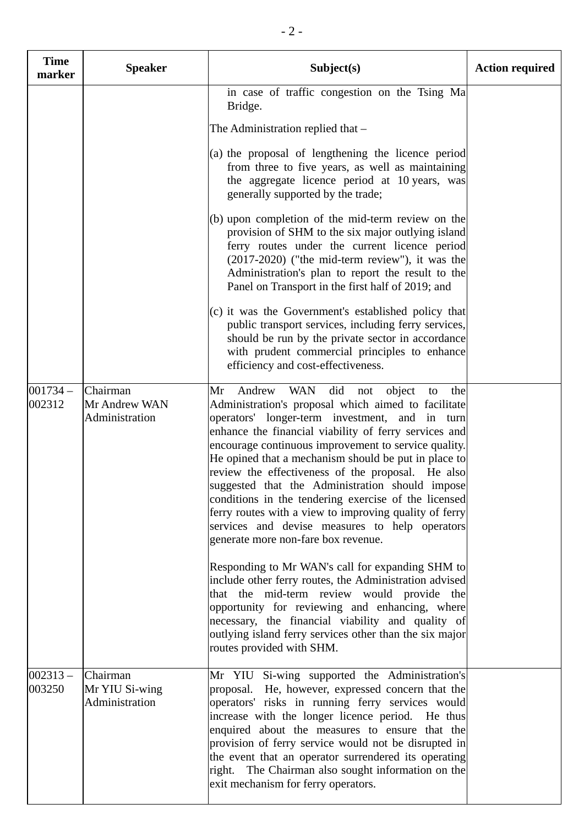| <b>Time</b><br>marker | <b>Speaker</b>                               | Subject(s)                                                                                                                                                                                                                                                                                                                                                                                                                                                                                                                                                                                                                                                                                                                                                                                                                                                                         | <b>Action required</b> |
|-----------------------|----------------------------------------------|------------------------------------------------------------------------------------------------------------------------------------------------------------------------------------------------------------------------------------------------------------------------------------------------------------------------------------------------------------------------------------------------------------------------------------------------------------------------------------------------------------------------------------------------------------------------------------------------------------------------------------------------------------------------------------------------------------------------------------------------------------------------------------------------------------------------------------------------------------------------------------|------------------------|
|                       |                                              | in case of traffic congestion on the Tsing Ma<br>Bridge.                                                                                                                                                                                                                                                                                                                                                                                                                                                                                                                                                                                                                                                                                                                                                                                                                           |                        |
|                       |                                              | The Administration replied that –                                                                                                                                                                                                                                                                                                                                                                                                                                                                                                                                                                                                                                                                                                                                                                                                                                                  |                        |
|                       |                                              | (a) the proposal of lengthening the licence period<br>from three to five years, as well as maintaining<br>the aggregate licence period at 10 years, was<br>generally supported by the trade;                                                                                                                                                                                                                                                                                                                                                                                                                                                                                                                                                                                                                                                                                       |                        |
|                       |                                              | (b) upon completion of the mid-term review on the<br>provision of SHM to the six major outlying island<br>ferry routes under the current licence period<br>(2017-2020) ("the mid-term review"), it was the<br>Administration's plan to report the result to the<br>Panel on Transport in the first half of 2019; and                                                                                                                                                                                                                                                                                                                                                                                                                                                                                                                                                               |                        |
|                       |                                              | (c) it was the Government's established policy that<br>public transport services, including ferry services,<br>should be run by the private sector in accordance<br>with prudent commercial principles to enhance<br>efficiency and cost-effectiveness.                                                                                                                                                                                                                                                                                                                                                                                                                                                                                                                                                                                                                            |                        |
| $001734 -$<br>002312  | Chairman<br>Mr Andrew WAN<br>Administration  | <b>WAN</b><br>Andrew<br>did<br>Mr<br>object<br>not<br>to<br>the<br>Administration's proposal which aimed to facilitate<br>operators' longer-term investment, and in turn<br>enhance the financial viability of ferry services and<br>encourage continuous improvement to service quality.<br>He opined that a mechanism should be put in place to<br>review the effectiveness of the proposal. He also<br>suggested that the Administration should impose<br>conditions in the tendering exercise of the licensed<br>ferry routes with a view to improving quality of ferry<br>services and devise measures to help operators<br>generate more non-fare box revenue.<br>Responding to Mr WAN's call for expanding SHM to<br>include other ferry routes, the Administration advised<br>that the mid-term review would provide the<br>opportunity for reviewing and enhancing, where |                        |
|                       |                                              | necessary, the financial viability and quality of<br>outlying island ferry services other than the six major<br>routes provided with SHM.                                                                                                                                                                                                                                                                                                                                                                                                                                                                                                                                                                                                                                                                                                                                          |                        |
| $002313 -$<br>003250  | Chairman<br>Mr YIU Si-wing<br>Administration | Mr YIU Si-wing supported the Administration's<br>proposal. He, however, expressed concern that the<br>operators' risks in running ferry services would<br>increase with the longer licence period. He thus<br>enquired about the measures to ensure that the<br>provision of ferry service would not be disrupted in<br>the event that an operator surrendered its operating<br>right. The Chairman also sought information on the<br>exit mechanism for ferry operators.                                                                                                                                                                                                                                                                                                                                                                                                          |                        |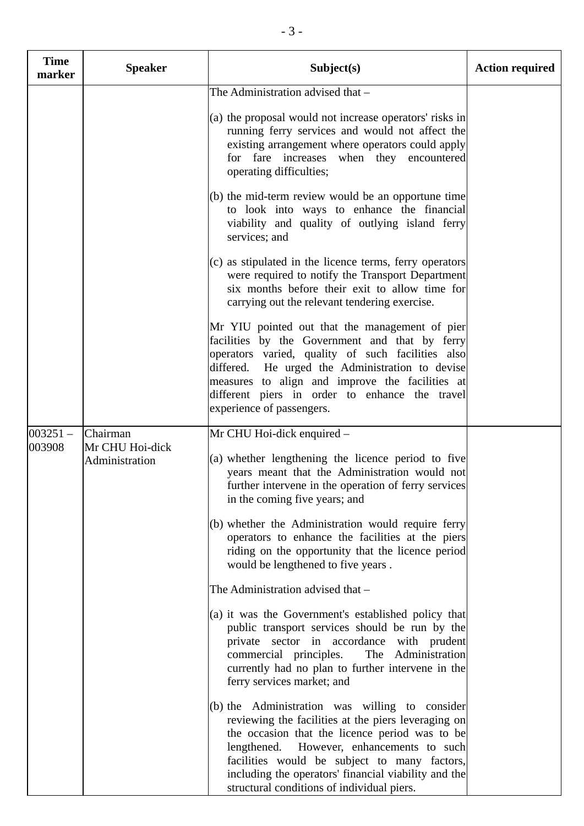| <b>Time</b><br>marker | <b>Speaker</b>                                | Subject(s)                                                                                                                                                                                                                                                                                                                                                                                                                                                                                                                                                                                                                                                                                                                                                    | <b>Action required</b> |
|-----------------------|-----------------------------------------------|---------------------------------------------------------------------------------------------------------------------------------------------------------------------------------------------------------------------------------------------------------------------------------------------------------------------------------------------------------------------------------------------------------------------------------------------------------------------------------------------------------------------------------------------------------------------------------------------------------------------------------------------------------------------------------------------------------------------------------------------------------------|------------------------|
|                       |                                               | The Administration advised that -<br>(a) the proposal would not increase operators' risks in<br>running ferry services and would not affect the<br>existing arrangement where operators could apply<br>for fare increases<br>when they encountered<br>operating difficulties;                                                                                                                                                                                                                                                                                                                                                                                                                                                                                 |                        |
|                       |                                               | (b) the mid-term review would be an opportune time<br>to look into ways to enhance the financial<br>viability and quality of outlying island ferry<br>services; and                                                                                                                                                                                                                                                                                                                                                                                                                                                                                                                                                                                           |                        |
|                       |                                               | (c) as stipulated in the licence terms, ferry operators<br>were required to notify the Transport Department<br>six months before their exit to allow time for<br>carrying out the relevant tendering exercise.                                                                                                                                                                                                                                                                                                                                                                                                                                                                                                                                                |                        |
|                       |                                               | Mr YIU pointed out that the management of pier<br>facilities by the Government and that by ferry<br>operators varied, quality of such facilities also<br>differed. He urged the Administration to devise<br>measures to align and improve the facilities at<br>different piers in order to enhance the travel<br>experience of passengers.                                                                                                                                                                                                                                                                                                                                                                                                                    |                        |
| $003251 -$<br>003908  | Chairman<br>Mr CHU Hoi-dick<br>Administration | Mr CHU Hoi-dick enquired –<br>(a) whether lengthening the licence period to five<br>years meant that the Administration would not<br>further intervene in the operation of ferry services<br>in the coming five years; and<br>(b) whether the Administration would require ferry<br>operators to enhance the facilities at the piers<br>riding on the opportunity that the licence period<br>would be lengthened to five years.<br>The Administration advised that -<br>(a) it was the Government's established policy that<br>public transport services should be run by the<br>private sector in accordance with prudent<br>The Administration<br>commercial principles.<br>currently had no plan to further intervene in the<br>ferry services market; and |                        |
|                       |                                               | (b) the Administration was willing to consider<br>reviewing the facilities at the piers leveraging on<br>the occasion that the licence period was to be<br>lengthened.<br>However, enhancements to such<br>facilities would be subject to many factors,<br>including the operators' financial viability and the<br>structural conditions of individual piers.                                                                                                                                                                                                                                                                                                                                                                                                 |                        |